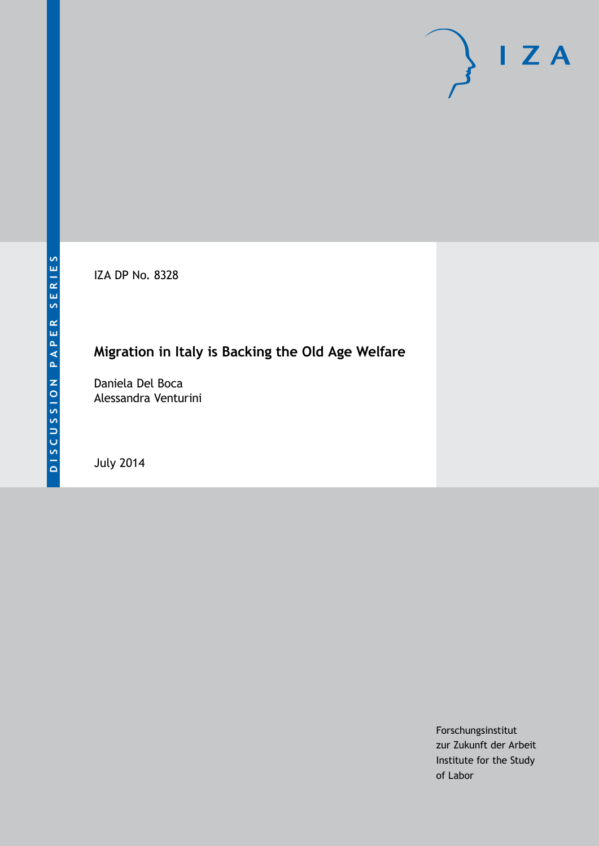IZA DP No. 8328

## **Migration in Italy is Backing the Old Age Welfare**

Daniela Del Boca Alessandra Venturini

July 2014

Forschungsinstitut zur Zukunft der Arbeit Institute for the Study of Labor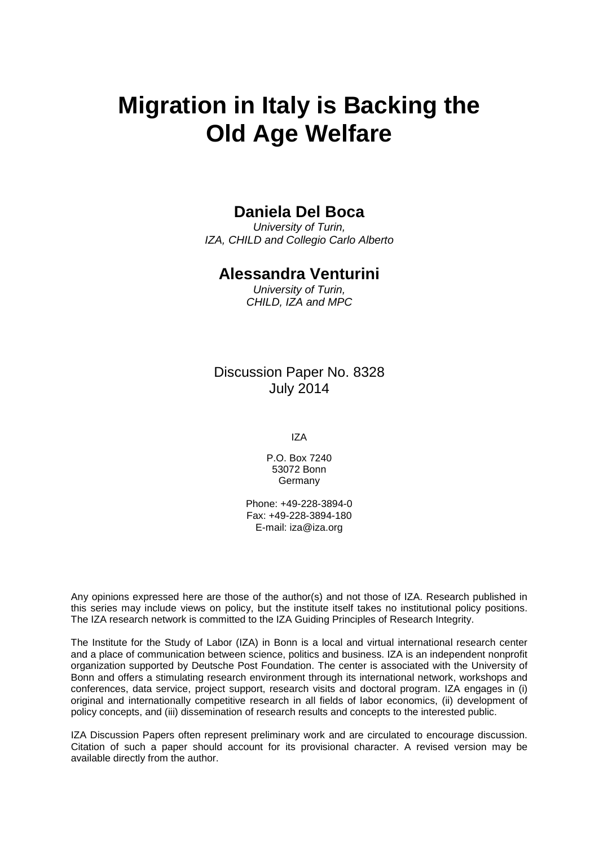# **Migration in Italy is Backing the Old Age Welfare**

### **Daniela Del Boca**

*University of Turin, IZA, CHILD and Collegio Carlo Alberto*

### **Alessandra Venturini**

*University of Turin, CHILD, IZA and MPC*

Discussion Paper No. 8328 July 2014

IZA

P.O. Box 7240 53072 Bonn **Germany** 

Phone: +49-228-3894-0 Fax: +49-228-3894-180 E-mail: [iza@iza.org](mailto:iza@iza.org)

Any opinions expressed here are those of the author(s) and not those of IZA. Research published in this series may include views on policy, but the institute itself takes no institutional policy positions. The IZA research network is committed to the IZA Guiding Principles of Research Integrity.

The Institute for the Study of Labor (IZA) in Bonn is a local and virtual international research center and a place of communication between science, politics and business. IZA is an independent nonprofit organization supported by Deutsche Post Foundation. The center is associated with the University of Bonn and offers a stimulating research environment through its international network, workshops and conferences, data service, project support, research visits and doctoral program. IZA engages in (i) original and internationally competitive research in all fields of labor economics, (ii) development of policy concepts, and (iii) dissemination of research results and concepts to the interested public.

<span id="page-1-0"></span>IZA Discussion Papers often represent preliminary work and are circulated to encourage discussion. Citation of such a paper should account for its provisional character. A revised version may be available directly from the author.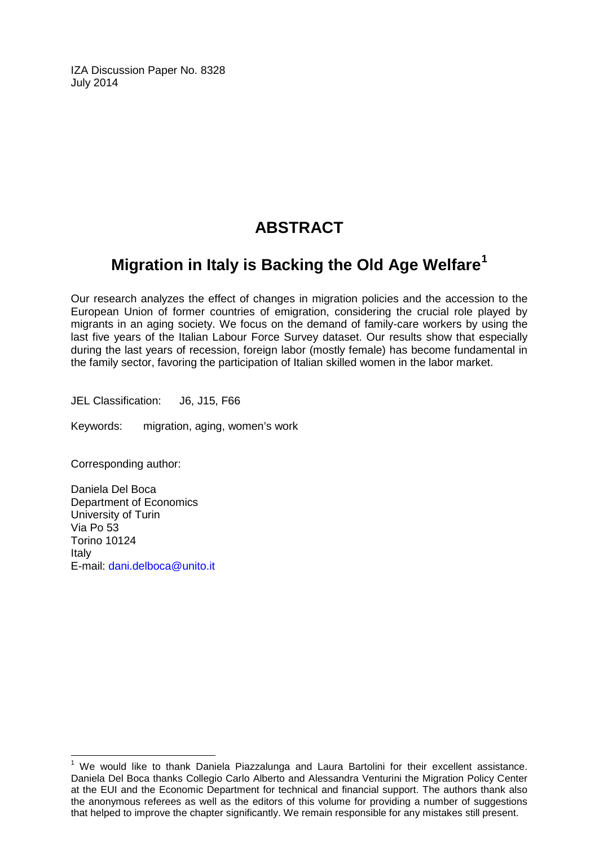IZA Discussion Paper No. 8328 July 2014

## **ABSTRACT**

## **Migration in Italy is Backing the Old Age Welfare[1](#page-1-0)**

Our research analyzes the effect of changes in migration policies and the accession to the European Union of former countries of emigration, considering the crucial role played by migrants in an aging society. We focus on the demand of family-care workers by using the last five years of the Italian Labour Force Survey dataset. Our results show that especially during the last years of recession, foreign labor (mostly female) has become fundamental in the family sector, favoring the participation of Italian skilled women in the labor market.

JEL Classification: J6, J15, F66

Keywords: migration, aging, women's work

Corresponding author:

Daniela Del Boca Department of Economics University of Turin Via Po 53 Torino 10124 Italy E-mail: [dani.delboca@unito.it](mailto:dani.delboca@unito.it)

<sup>&</sup>lt;sup>1</sup> We would like to thank Daniela Piazzalunga and Laura Bartolini for their excellent assistance. Daniela Del Boca thanks Collegio Carlo Alberto and Alessandra Venturini the Migration Policy Center at the EUI and the Economic Department for technical and financial support. The authors thank also the anonymous referees as well as the editors of this volume for providing a number of suggestions that helped to improve the chapter significantly. We remain responsible for any mistakes still present.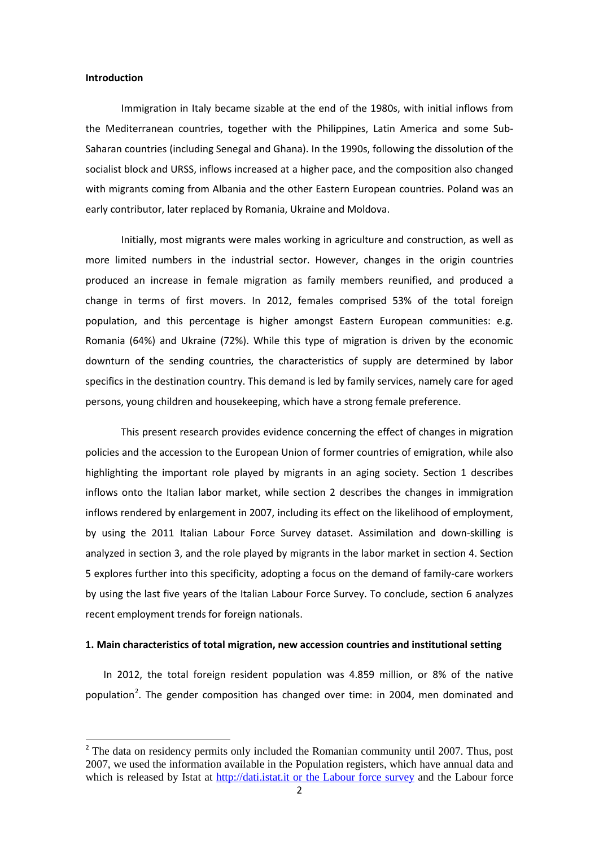#### **Introduction**

Immigration in Italy became sizable at the end of the 1980s, with initial inflows from the Mediterranean countries, together with the Philippines, Latin America and some Sub-Saharan countries (including Senegal and Ghana). In the 1990s, following the dissolution of the socialist block and URSS, inflows increased at a higher pace, and the composition also changed with migrants coming from Albania and the other Eastern European countries. Poland was an early contributor, later replaced by Romania, Ukraine and Moldova.

Initially, most migrants were males working in agriculture and construction, as well as more limited numbers in the industrial sector. However, changes in the origin countries produced an increase in female migration as family members reunified, and produced a change in terms of first movers. In 2012, females comprised 53% of the total foreign population, and this percentage is higher amongst Eastern European communities: e.g. Romania (64%) and Ukraine (72%). While this type of migration is driven by the economic downturn of the sending countries, the characteristics of supply are determined by labor specifics in the destination country. This demand is led by family services, namely care for aged persons, young children and housekeeping, which have a strong female preference.

This present research provides evidence concerning the effect of changes in migration policies and the accession to the European Union of former countries of emigration, while also highlighting the important role played by migrants in an aging society. Section 1 describes inflows onto the Italian labor market, while section 2 describes the changes in immigration inflows rendered by enlargement in 2007, including its effect on the likelihood of employment, by using the 2011 Italian Labour Force Survey dataset. Assimilation and down-skilling is analyzed in section 3, and the role played by migrants in the labor market in section 4. Section 5 explores further into this specificity, adopting a focus on the demand of family-care workers by using the last five years of the Italian Labour Force Survey. To conclude, section 6 analyzes recent employment trends for foreign nationals.

#### **1. Main characteristics of total migration, new accession countries and institutional setting**

In 2012, the total foreign resident population was 4.859 million, or 8% of the native population<sup>2</sup>. The gender composition has changed over time: in 2004, men dominated and

<span id="page-3-0"></span><sup>&</sup>lt;sup>2</sup> The data on residency permits only included the Romanian community until 2007. Thus, post 2007, we used the information available in the Population registers, which have annual data and which is released by Istat at [http://dati.istat.it](http://dati.istat.it/) or the Labour force survey and the Labour force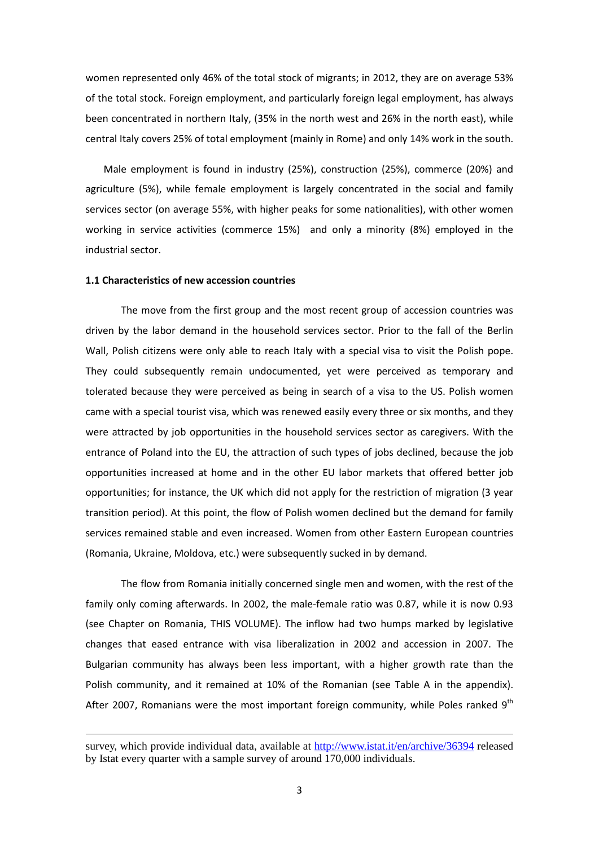women represented only 46% of the total stock of migrants; in 2012, they are on average 53% of the total stock. Foreign employment, and particularly foreign legal employment, has always been concentrated in northern Italy, (35% in the north west and 26% in the north east), while central Italy covers 25% of total employment (mainly in Rome) and only 14% work in the south.

Male employment is found in industry (25%), construction (25%), commerce (20%) and agriculture (5%), while female employment is largely concentrated in the social and family services sector (on average 55%, with higher peaks for some nationalities), with other women working in service activities (commerce 15%) and only a minority (8%) employed in the industrial sector.

#### **1.1 Characteristics of new accession countries**

 $\overline{a}$ 

The move from the first group and the most recent group of accession countries was driven by the labor demand in the household services sector. Prior to the fall of the Berlin Wall, Polish citizens were only able to reach Italy with a special visa to visit the Polish pope. They could subsequently remain undocumented, yet were perceived as temporary and tolerated because they were perceived as being in search of a visa to the US. Polish women came with a special tourist visa, which was renewed easily every three or six months, and they were attracted by job opportunities in the household services sector as caregivers. With the entrance of Poland into the EU, the attraction of such types of jobs declined, because the job opportunities increased at home and in the other EU labor markets that offered better job opportunities; for instance, the UK which did not apply for the restriction of migration (3 year transition period). At this point, the flow of Polish women declined but the demand for family services remained stable and even increased. Women from other Eastern European countries (Romania, Ukraine, Moldova, etc.) were subsequently sucked in by demand.

The flow from Romania initially concerned single men and women, with the rest of the family only coming afterwards. In 2002, the male-female ratio was 0.87, while it is now 0.93 (see Chapter on Romania, THIS VOLUME). The inflow had two humps marked by legislative changes that eased entrance with visa liberalization in 2002 and accession in 2007. The Bulgarian community has always been less important, with a higher growth rate than the Polish community, and it remained at 10% of the Romanian (see Table A in the appendix). After 2007, Romanians were the most important foreign community, while Poles ranked  $9^{th}$ 

survey, which provide individual data, available at<http://www.istat.it/en/archive/36394> released by Istat every quarter with a sample survey of around 170,000 individuals.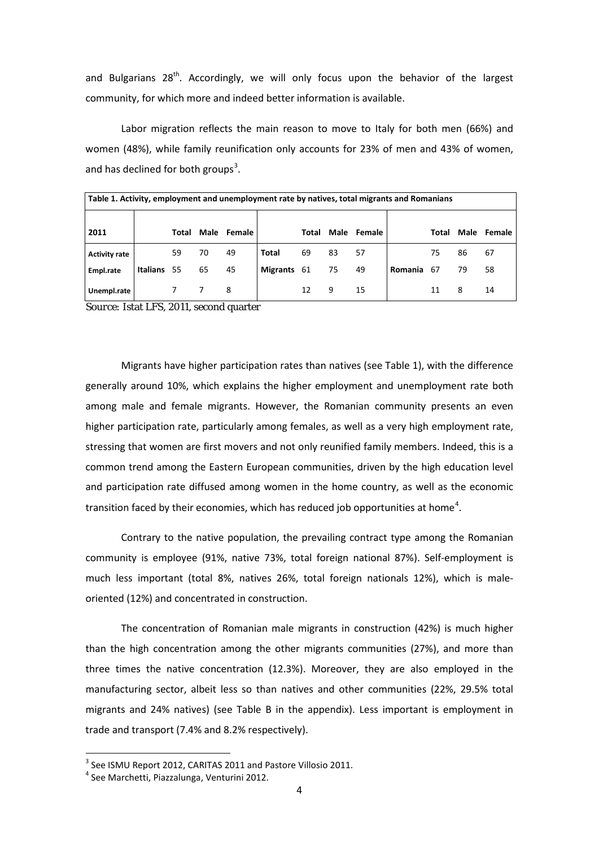and Bulgarians  $28^{th}$ . Accordingly, we will only focus upon the behavior of the largest community, for which more and indeed better information is available.

Labor migration reflects the main reason to move to Italy for both men (66%) and women (48%), while family reunification only accounts for 23% of men and 43% of women, and has declined for both groups<sup>[3](#page-3-0)</sup>.

| Table 1. Activity, employment and unemployment rate by natives, total migrants and Romanians |                 |       |    |             |             |       |    |             |                |       |      |        |
|----------------------------------------------------------------------------------------------|-----------------|-------|----|-------------|-------------|-------|----|-------------|----------------|-------|------|--------|
| 2011                                                                                         |                 | Total |    | Male Female |             | Total |    | Male Female |                | Total | Male | Female |
|                                                                                              |                 |       |    |             |             |       |    |             |                |       |      |        |
| <b>Activity rate</b>                                                                         |                 | 59    | 70 | 49          | Total       | 69    | 83 | 57          |                | 75    | 86   | 67     |
| Empl.rate                                                                                    | <b>Italians</b> | 55    | 65 | 45          | Migrants 61 |       | 75 | 49          | <b>Romania</b> | 67    | 79   | 58     |
| Unempl.rate                                                                                  |                 |       | 7  | 8           |             | 12    | 9  | 15          |                | 11    | 8    | 14     |

*Source:* Istat LFS, 2011, second quarter

Migrants have higher participation rates than natives (see Table 1), with the difference generally around 10%, which explains the higher employment and unemployment rate both among male and female migrants. However, the Romanian community presents an even higher participation rate, particularly among females, as well as a very high employment rate, stressing that women are first movers and not only reunified family members. Indeed, this is a common trend among the Eastern European communities, driven by the high education level and participation rate diffused among women in the home country, as well as the economic transition faced by their economies, which has reduced job opportunities at home<sup>[4](#page-5-0)</sup>.

Contrary to the native population, the prevailing contract type among the Romanian community is employee (91%, native 73%, total foreign national 87%). Self-employment is much less important (total 8%, natives 26%, total foreign nationals 12%), which is maleoriented (12%) and concentrated in construction.

The concentration of Romanian male migrants in construction (42%) is much higher than the high concentration among the other migrants communities (27%), and more than three times the native concentration (12.3%). Moreover, they are also employed in the manufacturing sector, albeit less so than natives and other communities (22%, 29.5% total migrants and 24% natives) (see Table B in the appendix). Less important is employment in trade and transport (7.4% and 8.2% respectively).

 $3$  See ISMU Report 2012, CARITAS 2011 and Pastore Villosio 2011.<br> $4$  See Marchetti, Piazzalunga, Venturini 2012.

<span id="page-5-0"></span>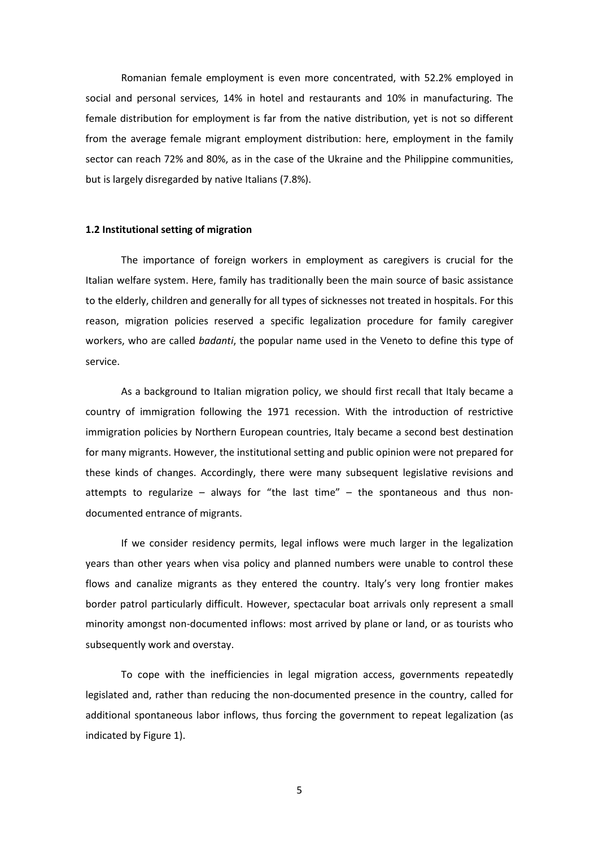Romanian female employment is even more concentrated, with 52.2% employed in social and personal services, 14% in hotel and restaurants and 10% in manufacturing. The female distribution for employment is far from the native distribution, yet is not so different from the average female migrant employment distribution: here, employment in the family sector can reach 72% and 80%, as in the case of the Ukraine and the Philippine communities, but is largely disregarded by native Italians (7.8%).

#### **1.2 Institutional setting of migration**

The importance of foreign workers in employment as caregivers is crucial for the Italian welfare system. Here, family has traditionally been the main source of basic assistance to the elderly, children and generally for all types of sicknesses not treated in hospitals. For this reason, migration policies reserved a specific legalization procedure for family caregiver workers, who are called *badanti*, the popular name used in the Veneto to define this type of service.

As a background to Italian migration policy, we should first recall that Italy became a country of immigration following the 1971 recession. With the introduction of restrictive immigration policies by Northern European countries, Italy became a second best destination for many migrants. However, the institutional setting and public opinion were not prepared for these kinds of changes. Accordingly, there were many subsequent legislative revisions and attempts to regularize – always for "the last time" – the spontaneous and thus nondocumented entrance of migrants.

If we consider residency permits, legal inflows were much larger in the legalization years than other years when visa policy and planned numbers were unable to control these flows and canalize migrants as they entered the country. Italy's very long frontier makes border patrol particularly difficult. However, spectacular boat arrivals only represent a small minority amongst non-documented inflows: most arrived by plane or land, or as tourists who subsequently work and overstay.

To cope with the inefficiencies in legal migration access, governments repeatedly legislated and, rather than reducing the non-documented presence in the country, called for additional spontaneous labor inflows, thus forcing the government to repeat legalization (as indicated by Figure 1).

5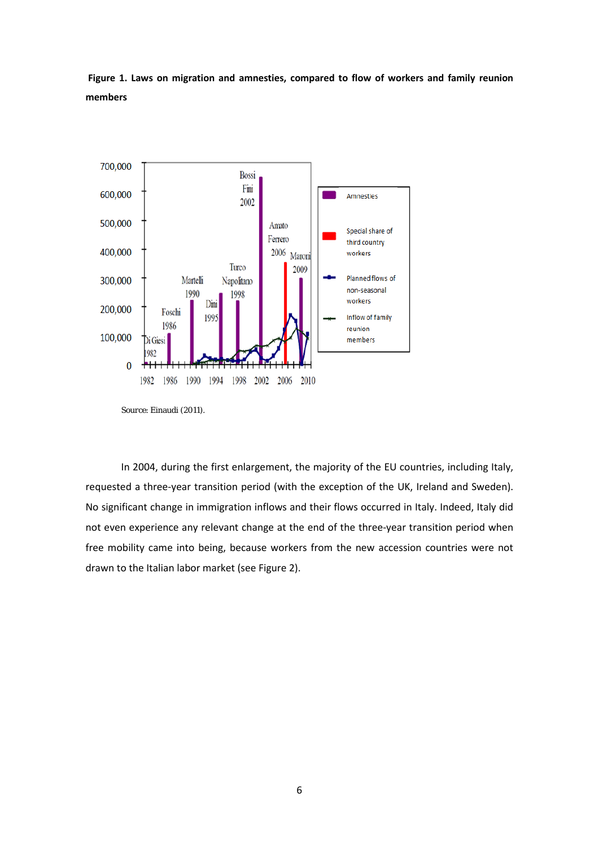



*Source*: Einaudi (2011).

In 2004, during the first enlargement, the majority of the EU countries, including Italy, requested a three-year transition period (with the exception of the UK, Ireland and Sweden). No significant change in immigration inflows and their flows occurred in Italy. Indeed, Italy did not even experience any relevant change at the end of the three-year transition period when free mobility came into being, because workers from the new accession countries were not drawn to the Italian labor market (see Figure 2).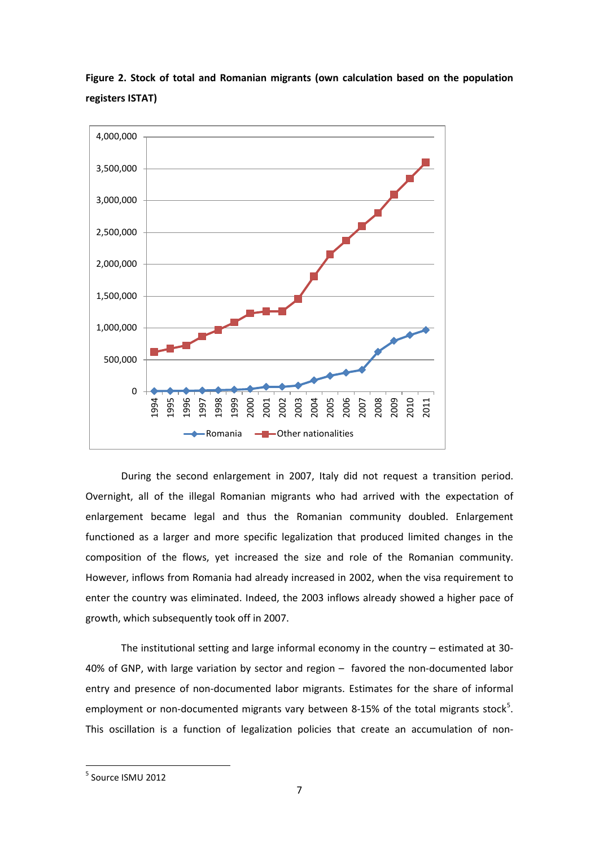

**Figure 2. Stock of total and Romanian migrants (own calculation based on the population registers ISTAT)**

During the second enlargement in 2007, Italy did not request a transition period. Overnight, all of the illegal Romanian migrants who had arrived with the expectation of enlargement became legal and thus the Romanian community doubled. Enlargement functioned as a larger and more specific legalization that produced limited changes in the composition of the flows, yet increased the size and role of the Romanian community. However, inflows from Romania had already increased in 2002, when the visa requirement to enter the country was eliminated. Indeed, the 2003 inflows already showed a higher pace of growth, which subsequently took off in 2007.

The institutional setting and large informal economy in the country – estimated at 30- 40% of GNP, with large variation by sector and region – favored the non-documented labor entry and presence of non-documented labor migrants. Estimates for the share of informal employment or non-documented migrants vary between 8-1[5](#page-5-0)% of the total migrants stock<sup>5</sup>. This oscillation is a function of legalization policies that create an accumulation of non-

<span id="page-8-0"></span> <sup>5</sup> Source ISMU 2012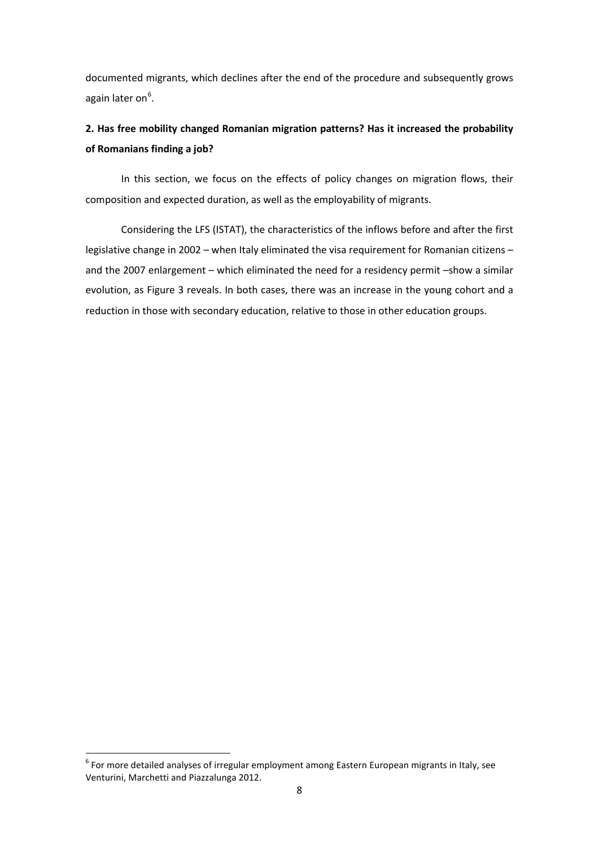documented migrants, which declines after the end of the procedure and subsequently grows again later on<sup>[6](#page-8-0)</sup>.

### **2. Has free mobility changed Romanian migration patterns? Has it increased the probability of Romanians finding a job?**

In this section, we focus on the effects of policy changes on migration flows, their composition and expected duration, as well as the employability of migrants.

Considering the LFS (ISTAT), the characteristics of the inflows before and after the first legislative change in 2002 – when Italy eliminated the visa requirement for Romanian citizens – and the 2007 enlargement – which eliminated the need for a residency permit –show a similar evolution, as Figure 3 reveals. In both cases, there was an increase in the young cohort and a reduction in those with secondary education, relative to those in other education groups.

<span id="page-9-0"></span> $6$  For more detailed analyses of irregular employment among Eastern European migrants in Italy, see Venturini, Marchetti and Piazzalunga 2012.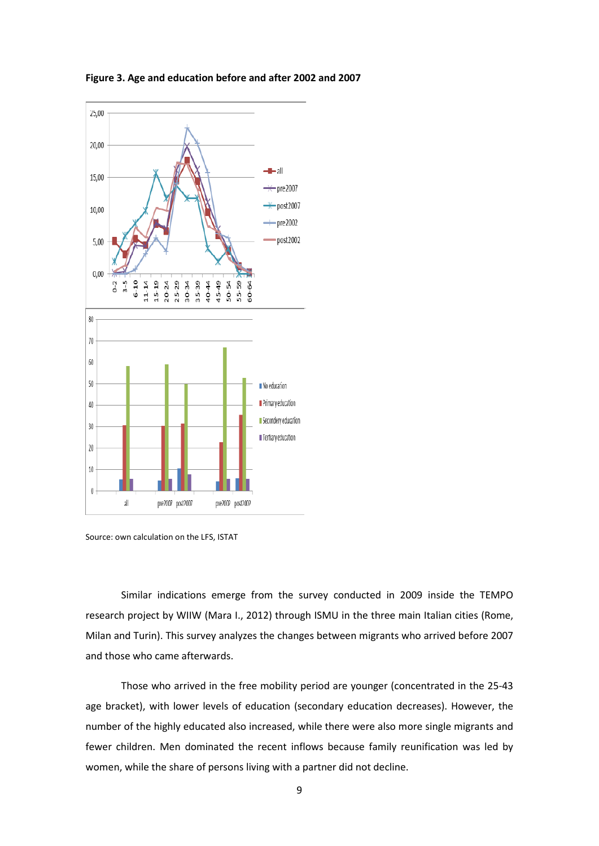

**Figure 3. Age and education before and after 2002 and 2007**

Similar indications emerge from the survey conducted in 2009 inside the TEMPO research project by WIIW (Mara I., 2012) through ISMU in the three main Italian cities (Rome, Milan and Turin). This survey analyzes the changes between migrants who arrived before 2007 and those who came afterwards.

Those who arrived in the free mobility period are younger (concentrated in the 25-43 age bracket), with lower levels of education (secondary education decreases). However, the number of the highly educated also increased, while there were also more single migrants and fewer children. Men dominated the recent inflows because family reunification was led by women, while the share of persons living with a partner did not decline.

Source: own calculation on the LFS, ISTAT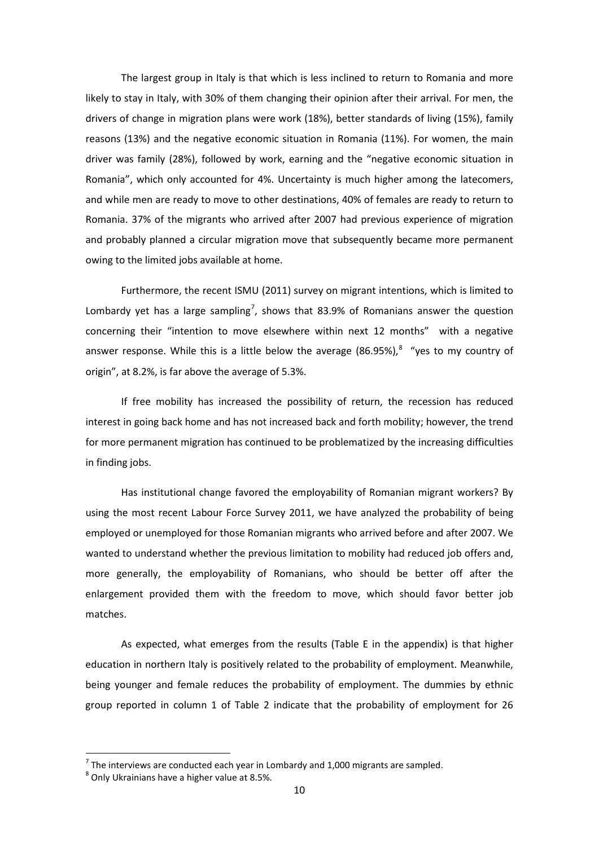The largest group in Italy is that which is less inclined to return to Romania and more likely to stay in Italy, with 30% of them changing their opinion after their arrival. For men, the drivers of change in migration plans were work (18%), better standards of living (15%), family reasons (13%) and the negative economic situation in Romania (11%). For women, the main driver was family (28%), followed by work, earning and the "negative economic situation in Romania", which only accounted for 4%. Uncertainty is much higher among the latecomers, and while men are ready to move to other destinations, 40% of females are ready to return to Romania. 37% of the migrants who arrived after 2007 had previous experience of migration and probably planned a circular migration move that subsequently became more permanent owing to the limited jobs available at home.

Furthermore, the recent ISMU (2011) survey on migrant intentions, which is limited to Lombardy yet has a large sampling<sup>[7](#page-9-0)</sup>, shows that 83.9% of Romanians answer the question concerning their "intention to move elsewhere within next 12 months" with a negative answer response. While this is a little below the average ([8](#page-11-0)6.95%),<sup>8</sup> "yes to my country of origin", at 8.2%, is far above the average of 5.3%.

If free mobility has increased the possibility of return, the recession has reduced interest in going back home and has not increased back and forth mobility; however, the trend for more permanent migration has continued to be problematized by the increasing difficulties in finding jobs.

Has institutional change favored the employability of Romanian migrant workers? By using the most recent Labour Force Survey 2011, we have analyzed the probability of being employed or unemployed for those Romanian migrants who arrived before and after 2007. We wanted to understand whether the previous limitation to mobility had reduced job offers and, more generally, the employability of Romanians, who should be better off after the enlargement provided them with the freedom to move, which should favor better job matches.

As expected, what emerges from the results (Table E in the appendix) is that higher education in northern Italy is positively related to the probability of employment. Meanwhile, being younger and female reduces the probability of employment. The dummies by ethnic group reported in column 1 of Table 2 indicate that the probability of employment for 26

<sup>&</sup>lt;sup>7</sup> The interviews are conducted each year in Lombardy and 1,000 migrants are sampled. <sup>8</sup> Only Ukrainians have a higher value at 8.5%.

<span id="page-11-0"></span>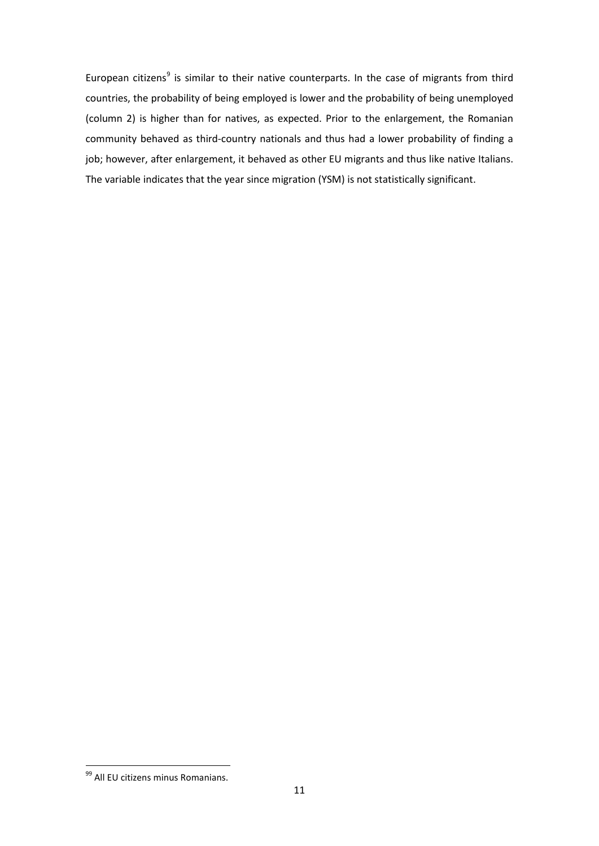European citizens $9$  is similar to their native counterparts. In the case of migrants from third countries, the probability of being employed is lower and the probability of being unemployed (column 2) is higher than for natives, as expected. Prior to the enlargement, the Romanian community behaved as third-country nationals and thus had a lower probability of finding a job; however, after enlargement, it behaved as other EU migrants and thus like native Italians. The variable indicates that the year since migration (YSM) is not statistically significant.

<span id="page-12-0"></span><sup>99</sup> All EU citizens minus Romanians.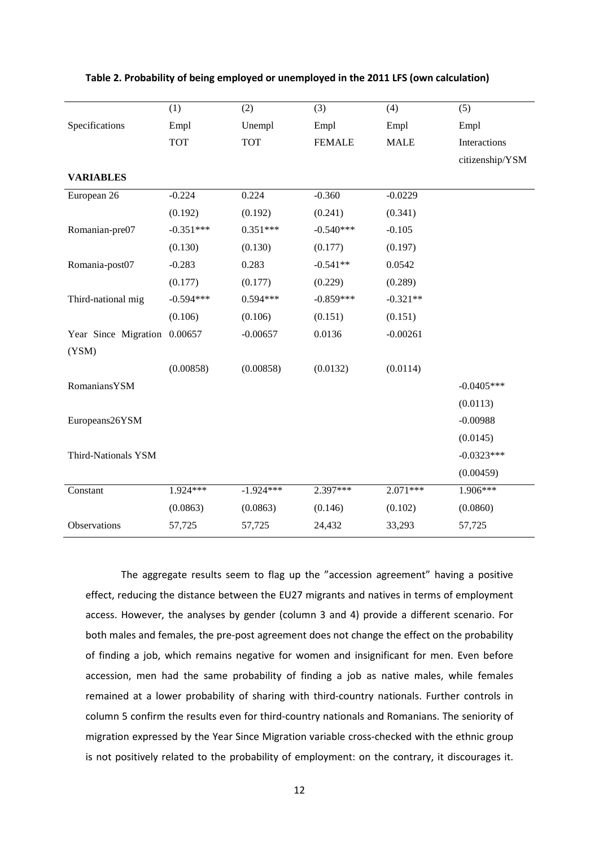|                              | (1)         | (2)         | $\overline{(3)}$ | (4)         | (5)             |
|------------------------------|-------------|-------------|------------------|-------------|-----------------|
| Specifications               | Empl        | Unempl      | Empl             | Empl        | Empl            |
|                              | <b>TOT</b>  | <b>TOT</b>  | <b>FEMALE</b>    | <b>MALE</b> | Interactions    |
|                              |             |             |                  |             | citizenship/YSM |
| <b>VARIABLES</b>             |             |             |                  |             |                 |
| European 26                  | $-0.224$    | 0.224       | $-0.360$         | $-0.0229$   |                 |
|                              | (0.192)     | (0.192)     | (0.241)          | (0.341)     |                 |
| Romanian-pre07               | $-0.351***$ | $0.351***$  | $-0.540***$      | $-0.105$    |                 |
|                              | (0.130)     | (0.130)     | (0.177)          | (0.197)     |                 |
| Romania-post07               | $-0.283$    | 0.283       | $-0.541**$       | 0.0542      |                 |
|                              | (0.177)     | (0.177)     | (0.229)          | (0.289)     |                 |
| Third-national mig           | $-0.594***$ | $0.594***$  | $-0.859***$      | $-0.321**$  |                 |
|                              | (0.106)     | (0.106)     | (0.151)          | (0.151)     |                 |
| Year Since Migration 0.00657 |             | $-0.00657$  | 0.0136           | $-0.00261$  |                 |
| (YSM)                        |             |             |                  |             |                 |
|                              | (0.00858)   | (0.00858)   | (0.0132)         | (0.0114)    |                 |
| <b>RomaniansYSM</b>          |             |             |                  |             | $-0.0405***$    |
|                              |             |             |                  |             | (0.0113)        |
| Europeans26YSM               |             |             |                  |             | $-0.00988$      |
|                              |             |             |                  |             | (0.0145)        |
| Third-Nationals YSM          |             |             |                  |             | $-0.0323***$    |
|                              |             |             |                  |             | (0.00459)       |
| Constant                     | 1.924***    | $-1.924***$ | $2.397***$       | $2.071***$  | 1.906***        |
|                              | (0.0863)    | (0.0863)    | (0.146)          | (0.102)     | (0.0860)        |
| Observations                 | 57,725      | 57,725      | 24,432           | 33,293      | 57,725          |

**Table 2. Probability of being employed or unemployed in the 2011 LFS (own calculation)**

The aggregate results seem to flag up the "accession agreement" having a positive effect, reducing the distance between the EU27 migrants and natives in terms of employment access. However, the analyses by gender (column 3 and 4) provide a different scenario. For both males and females, the pre-post agreement does not change the effect on the probability of finding a job, which remains negative for women and insignificant for men. Even before accession, men had the same probability of finding a job as native males, while females remained at a lower probability of sharing with third-country nationals. Further controls in column 5 confirm the results even for third-country nationals and Romanians. The seniority of migration expressed by the Year Since Migration variable cross-checked with the ethnic group is not positively related to the probability of employment: on the contrary, it discourages it.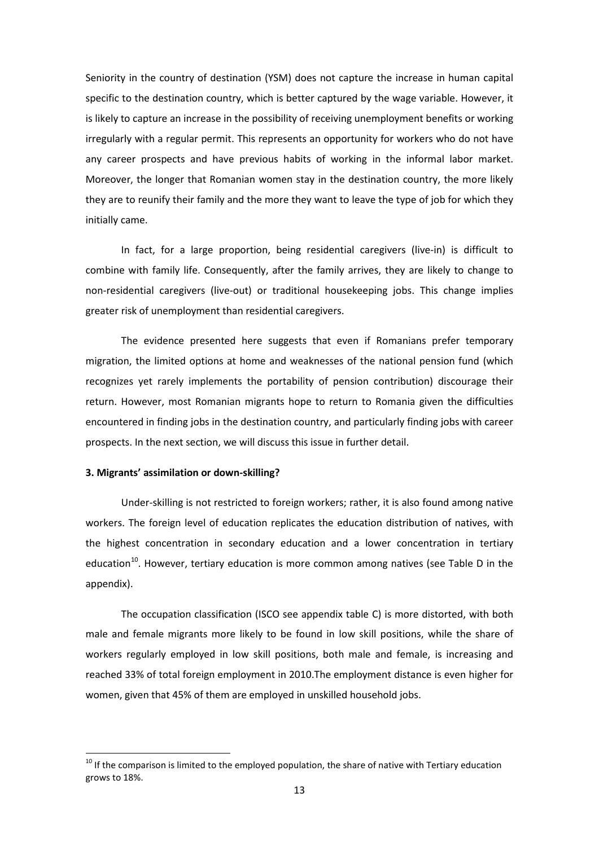Seniority in the country of destination (YSM) does not capture the increase in human capital specific to the destination country, which is better captured by the wage variable. However, it is likely to capture an increase in the possibility of receiving unemployment benefits or working irregularly with a regular permit. This represents an opportunity for workers who do not have any career prospects and have previous habits of working in the informal labor market. Moreover, the longer that Romanian women stay in the destination country, the more likely they are to reunify their family and the more they want to leave the type of job for which they initially came.

In fact, for a large proportion, being residential caregivers (live-in) is difficult to combine with family life. Consequently, after the family arrives, they are likely to change to non-residential caregivers (live-out) or traditional housekeeping jobs. This change implies greater risk of unemployment than residential caregivers.

The evidence presented here suggests that even if Romanians prefer temporary migration, the limited options at home and weaknesses of the national pension fund (which recognizes yet rarely implements the portability of pension contribution) discourage their return. However, most Romanian migrants hope to return to Romania given the difficulties encountered in finding jobs in the destination country, and particularly finding jobs with career prospects. In the next section, we will discuss this issue in further detail.

#### **3. Migrants' assimilation or down-skilling?**

Under-skilling is not restricted to foreign workers; rather, it is also found among native workers. The foreign level of education replicates the education distribution of natives, with the highest concentration in secondary education and a lower concentration in tertiary education<sup>[10](#page-12-0)</sup>. However, tertiary education is more common among natives (see Table D in the appendix).

The occupation classification (ISCO see appendix table C) is more distorted, with both male and female migrants more likely to be found in low skill positions, while the share of workers regularly employed in low skill positions, both male and female, is increasing and reached 33% of total foreign employment in 2010.The employment distance is even higher for women, given that 45% of them are employed in unskilled household jobs.

<span id="page-14-0"></span> $10$  If the comparison is limited to the employed population, the share of native with Tertiary education grows to 18%.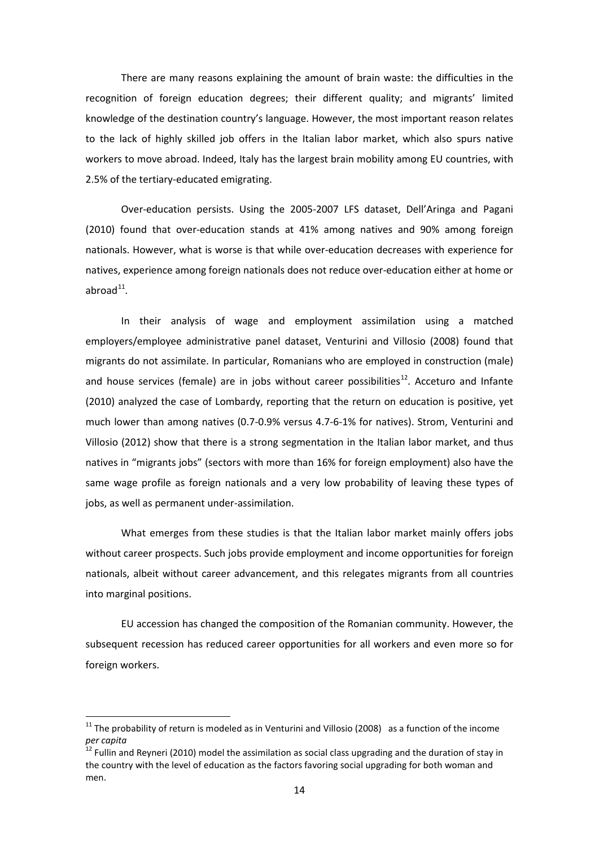There are many reasons explaining the amount of brain waste: the difficulties in the recognition of foreign education degrees; their different quality; and migrants' limited knowledge of the destination country's language. However, the most important reason relates to the lack of highly skilled job offers in the Italian labor market, which also spurs native workers to move abroad. Indeed, Italy has the largest brain mobility among EU countries, with 2.5% of the tertiary-educated emigrating.

Over-education persists. Using the 2005-2007 LFS dataset, Dell'Aringa and Pagani (2010) found that over-education stands at 41% among natives and 90% among foreign nationals. However, what is worse is that while over-education decreases with experience for natives, experience among foreign nationals does not reduce over-education either at home or abroad $^{11}$  $^{11}$  $^{11}$ .

In their analysis of wage and employment assimilation using a matched employers/employee administrative panel dataset, Venturini and Villosio (2008) found that migrants do not assimilate. In particular, Romanians who are employed in construction (male) and house services (female) are in jobs without career possibilities<sup>[12](#page-15-0)</sup>. Acceturo and Infante (2010) analyzed the case of Lombardy, reporting that the return on education is positive, yet much lower than among natives (0.7-0.9% versus 4.7-6-1% for natives). Strom, Venturini and Villosio (2012) show that there is a strong segmentation in the Italian labor market, and thus natives in "migrants jobs" (sectors with more than 16% for foreign employment) also have the same wage profile as foreign nationals and a very low probability of leaving these types of jobs, as well as permanent under-assimilation.

What emerges from these studies is that the Italian labor market mainly offers jobs without career prospects. Such jobs provide employment and income opportunities for foreign nationals, albeit without career advancement, and this relegates migrants from all countries into marginal positions.

<span id="page-15-1"></span>EU accession has changed the composition of the Romanian community. However, the subsequent recession has reduced career opportunities for all workers and even more so for foreign workers.

 $11$  The probability of return is modeled as in Venturini and Villosio (2008) as a function of the income *per capita*

<span id="page-15-0"></span> $^{12}$  Fullin and Revneri (2010) model the assimilation as social class upgrading and the duration of stay in the country with the level of education as the factors favoring social upgrading for both woman and men.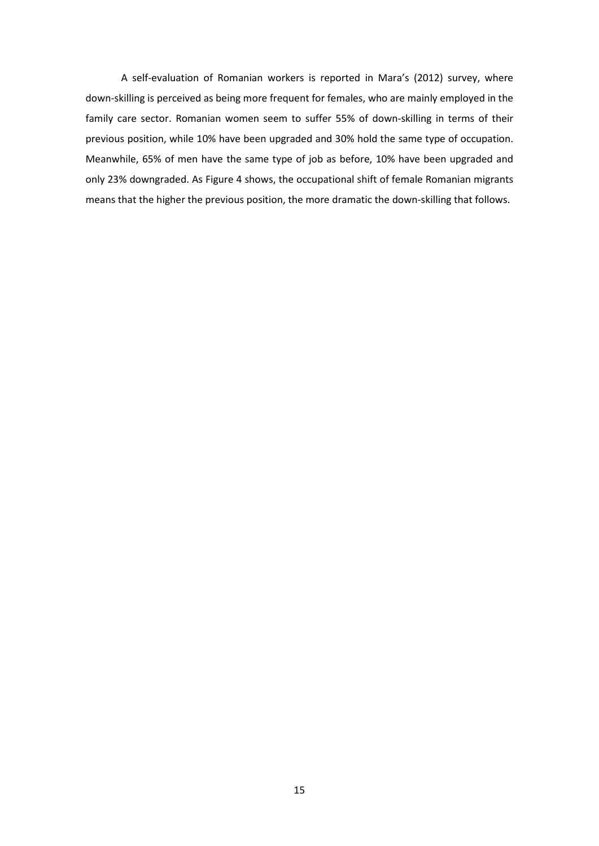A self-evaluation of Romanian workers is reported in Mara's (2012) survey, where down-skilling is perceived as being more frequent for females, who are mainly employed in the family care sector. Romanian women seem to suffer 55% of down-skilling in terms of their previous position, while 10% have been upgraded and 30% hold the same type of occupation. Meanwhile, 65% of men have the same type of job as before, 10% have been upgraded and only 23% downgraded. As Figure 4 shows, the occupational shift of female Romanian migrants means that the higher the previous position, the more dramatic the down-skilling that follows.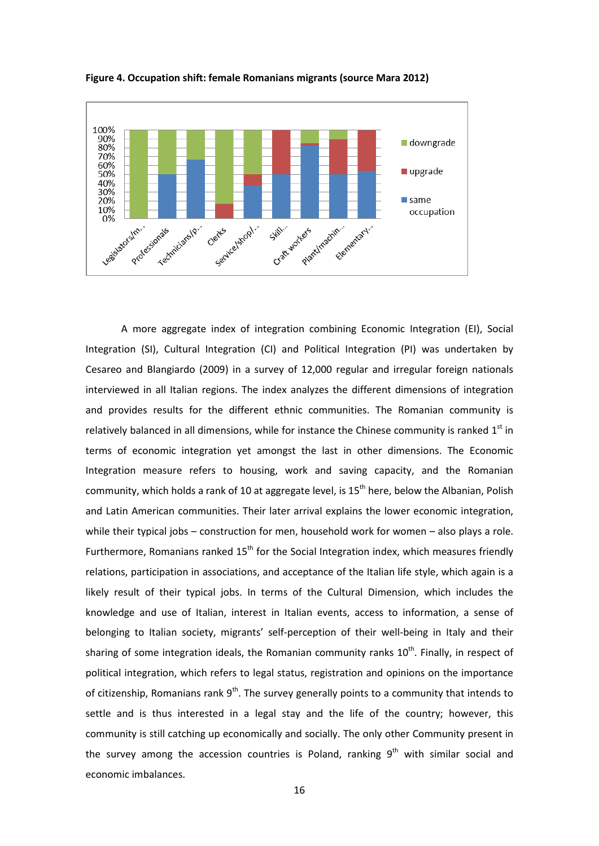

**Figure 4. Occupation shift: female Romanians migrants (source Mara 2012)**

A more aggregate index of integration combining Economic Integration (EI), Social Integration (SI), Cultural Integration (CI) and Political Integration (PI) was undertaken by Cesareo and Blangiardo (2009) in a survey of 12,000 regular and irregular foreign nationals interviewed in all Italian regions. The index analyzes the different dimensions of integration and provides results for the different ethnic communities. The Romanian community is relatively balanced in all dimensions, while for instance the Chinese community is ranked  $1<sup>st</sup>$  in terms of economic integration yet amongst the last in other dimensions. The Economic Integration measure refers to housing, work and saving capacity, and the Romanian community, which holds a rank of 10 at aggregate level, is  $15<sup>th</sup>$  here, below the Albanian, Polish and Latin American communities. Their later arrival explains the lower economic integration, while their typical jobs – construction for men, household work for women – also plays a role. Furthermore, Romanians ranked  $15<sup>th</sup>$  for the Social Integration index, which measures friendly relations, participation in associations, and acceptance of the Italian life style, which again is a likely result of their typical jobs. In terms of the Cultural Dimension, which includes the knowledge and use of Italian, interest in Italian events, access to information, a sense of belonging to Italian society, migrants' self-perception of their well-being in Italy and their sharing of some integration ideals, the Romanian community ranks  $10^{th}$ . Finally, in respect of political integration, which refers to legal status, registration and opinions on the importance of citizenship, Romanians rank  $9<sup>th</sup>$ . The survey generally points to a community that intends to settle and is thus interested in a legal stay and the life of the country; however, this community is still catching up economically and socially. The only other Community present in the survey among the accession countries is Poland, ranking  $9<sup>th</sup>$  with similar social and economic imbalances.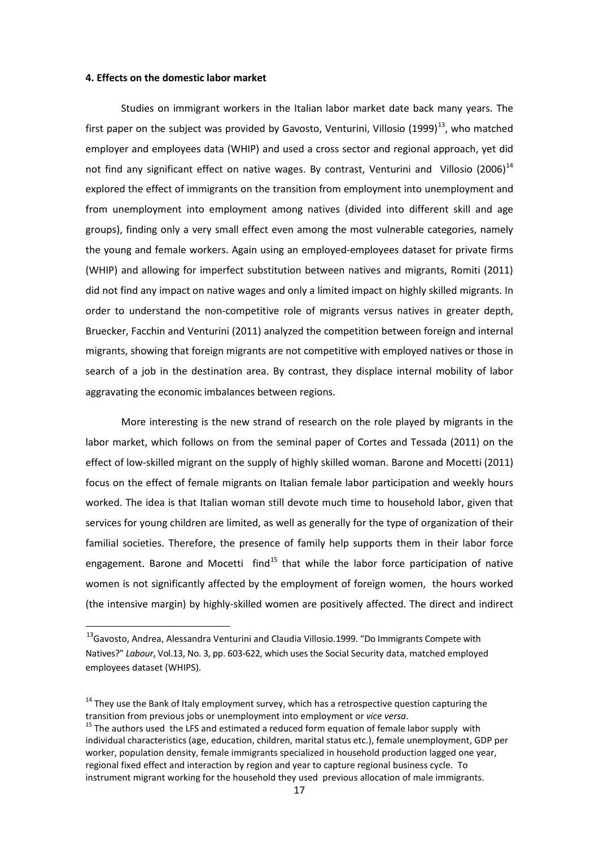#### **4. Effects on the domestic labor market**

**.** 

Studies on immigrant workers in the Italian labor market date back many years. The first paper on the subject was provided by Gavosto, Venturini, Villosio (1999)<sup>[13](#page-15-1)</sup>, who matched employer and employees data (WHIP) and used a cross sector and regional approach, yet did not find any significant effect on native wages. By contrast, Venturini and Villosio (2006)<sup>[14](#page-18-0)</sup> explored the effect of immigrants on the transition from employment into unemployment and from unemployment into employment among natives (divided into different skill and age groups), finding only a very small effect even among the most vulnerable categories, namely the young and female workers. Again using an employed-employees dataset for private firms (WHIP) and allowing for imperfect substitution between natives and migrants, Romiti (2011) did not find any impact on native wages and only a limited impact on highly skilled migrants. In order to understand the non-competitive role of migrants versus natives in greater depth, Bruecker, Facchin and Venturini (2011) analyzed the competition between foreign and internal migrants, showing that foreign migrants are not competitive with employed natives or those in search of a job in the destination area. By contrast, they displace internal mobility of labor aggravating the economic imbalances between regions.

More interesting is the new strand of research on the role played by migrants in the labor market, which follows on from the seminal paper of Cortes and Tessada (2011) on the effect of low-skilled migrant on the supply of highly skilled woman. Barone and Mocetti (2011) focus on the effect of female migrants on Italian female labor participation and weekly hours worked. The idea is that Italian woman still devote much time to household labor, given that services for young children are limited, as well as generally for the type of organization of their familial societies. Therefore, the presence of family help supports them in their labor force engagement. Barone and Mocetti  $find^{15}$  $find^{15}$  $find^{15}$  that while the labor force participation of native women is not significantly affected by the employment of foreign women, the hours worked (the intensive margin) by highly-skilled women are positively affected. The direct and indirect

<sup>&</sup>lt;sup>13</sup>Gavosto, Andrea, Alessandra Venturini and Claudia Villosio.1999. "Do Immigrants Compete with Natives?" *Labour*, Vol.13, No. 3, pp. 603-622, which uses the Social Security data, matched employed employees dataset (WHIPS).

<span id="page-18-2"></span><span id="page-18-0"></span> $14$  They use the Bank of Italy employment survey, which has a retrospective question capturing the

<span id="page-18-1"></span>transition from previous jobs or unemployment into employment or *vice versa*.<br><sup>15</sup> The authors used the LFS and estimated a reduced form equation of female labor supply with individual characteristics (age, education, children, marital status etc.), female unemployment, GDP per worker, population density, female immigrants specialized in household production lagged one year, regional fixed effect and interaction by region and year to capture regional business cycle. To instrument migrant working for the household they used previous allocation of male immigrants.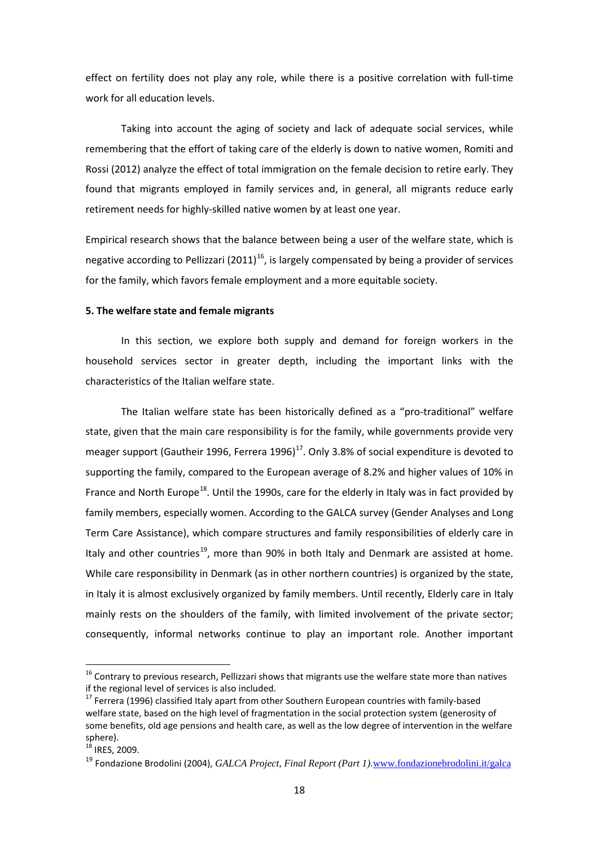effect on fertility does not play any role, while there is a positive correlation with full-time work for all education levels.

Taking into account the aging of society and lack of adequate social services, while remembering that the effort of taking care of the elderly is down to native women, Romiti and Rossi (2012) analyze the effect of total immigration on the female decision to retire early. They found that migrants employed in family services and, in general, all migrants reduce early retirement needs for highly-skilled native women by at least one year.

Empirical research shows that the balance between being a user of the welfare state, which is negative according to Pellizzari (2011)<sup>16</sup>, is largely compensated by being a provider of services for the family, which favors female employment and a more equitable society.

#### **5. The welfare state and female migrants**

In this section, we explore both supply and demand for foreign workers in the household services sector in greater depth, including the important links with the characteristics of the Italian welfare state.

The Italian welfare state has been historically defined as a "pro-traditional" welfare state, given that the main care responsibility is for the family, while governments provide very meager support (Gautheir 1996, Ferrera 1996)<sup>[17](#page-19-0)</sup>. Only 3.8% of social expenditure is devoted to supporting the family, compared to the European average of 8.2% and higher values of 10% in France and North Europe<sup>18</sup>. Until the 1990s, care for the elderly in Italy was in fact provided by family members, especially women. According to the GALCA survey (Gender Analyses and Long Term Care Assistance), which compare structures and family responsibilities of elderly care in Italy and other countries<sup>[19](#page-19-2)</sup>, more than 90% in both Italy and Denmark are assisted at home. While care responsibility in Denmark (as in other northern countries) is organized by the state, in Italy it is almost exclusively organized by family members. Until recently, Elderly care in Italy mainly rests on the shoulders of the family, with limited involvement of the private sector; consequently, informal networks continue to play an important role. Another important

 $16$  Contrary to previous research, Pellizzari shows that migrants use the welfare state more than natives if the regional level of services is also included.

<span id="page-19-0"></span> $17$  Ferrera (1996) classified Italy apart from other Southern European countries with family-based welfare state, based on the high level of fragmentation in the social protection system (generosity of some benefits, old age pensions and health care, as well as the low degree of intervention in the welfare sphere).

<span id="page-19-1"></span> $18$  IRES, 2009.

<span id="page-19-2"></span><sup>&</sup>lt;sup>19</sup> Fondazione Brodolini (2004), *GALCA Project, Final Report (Part 1)*.[www.fondazionebrodolini.it/galca](http://www.fondazionebrodolini.it/galca)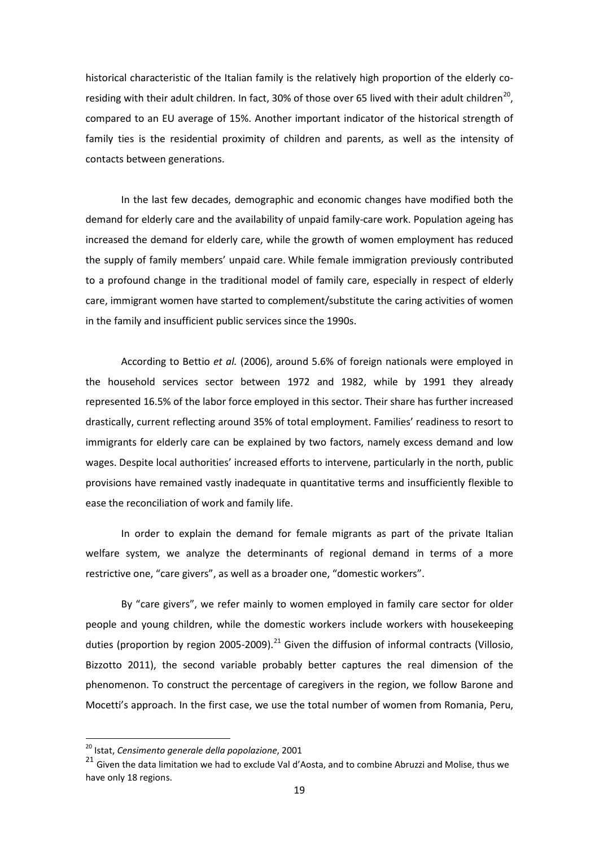historical characteristic of the Italian family is the relatively high proportion of the elderly co-residing with their adult children. In fact, 30% of those over 65 lived with their adult children<sup>[20](#page-19-1)</sup>. compared to an EU average of 15%. Another important indicator of the historical strength of family ties is the residential proximity of children and parents, as well as the intensity of contacts between generations.

In the last few decades, demographic and economic changes have modified both the demand for elderly care and the availability of unpaid family-care work. Population ageing has increased the demand for elderly care, while the growth of women employment has reduced the supply of family members' unpaid care. While female immigration previously contributed to a profound change in the traditional model of family care, especially in respect of elderly care, immigrant women have started to complement/substitute the caring activities of women in the family and insufficient public services since the 1990s.

According to Bettio *et al.* (2006), around 5.6% of foreign nationals were employed in the household services sector between 1972 and 1982, while by 1991 they already represented 16.5% of the labor force employed in this sector. Their share has further increased drastically, current reflecting around 35% of total employment. Families' readiness to resort to immigrants for elderly care can be explained by two factors, namely excess demand and low wages. Despite local authorities' increased efforts to intervene, particularly in the north, public provisions have remained vastly inadequate in quantitative terms and insufficiently flexible to ease the reconciliation of work and family life.

In order to explain the demand for female migrants as part of the private Italian welfare system, we analyze the determinants of regional demand in terms of a more restrictive one, "care givers", as well as a broader one, "domestic workers".

<span id="page-20-1"></span>By "care givers", we refer mainly to women employed in family care sector for older people and young children, while the domestic workers include workers with housekeeping duties (proportion by region 2005-2009).<sup>[21](#page-20-0)</sup> Given the diffusion of informal contracts (Villosio, Bizzotto 2011), the second variable probably better captures the real dimension of the phenomenon. To construct the percentage of caregivers in the region, we follow Barone and Mocetti's approach. In the first case, we use the total number of women from Romania, Peru,

 <sup>20</sup> Istat, *Censimento generale della popolazione*, 2001

<span id="page-20-0"></span> $21$  Given the data limitation we had to exclude Val d'Aosta, and to combine Abruzzi and Molise, thus we have only 18 regions.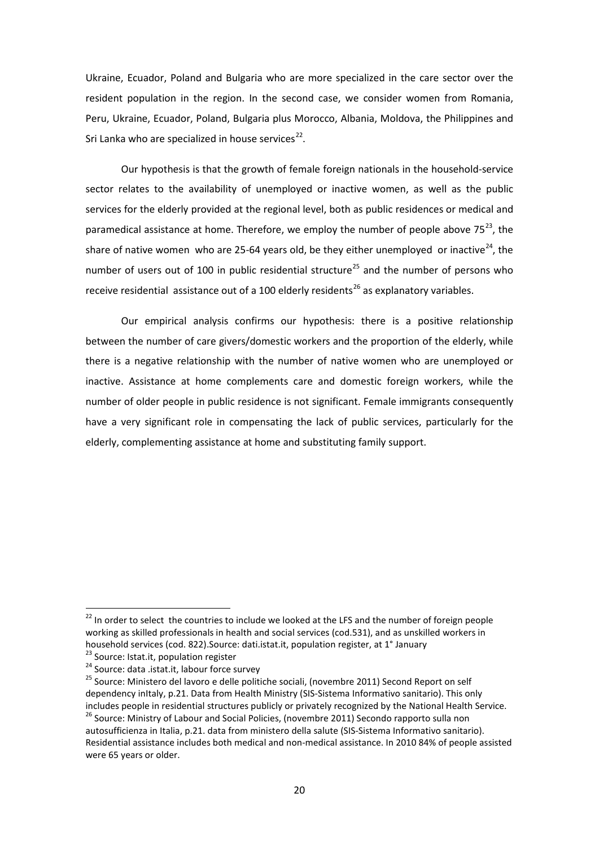Ukraine, Ecuador, Poland and Bulgaria who are more specialized in the care sector over the resident population in the region. In the second case, we consider women from Romania, Peru, Ukraine, Ecuador, Poland, Bulgaria plus Morocco, Albania, Moldova, the Philippines and Sri Lanka who are specialized in house services $^{22}$ .

Our hypothesis is that the growth of female foreign nationals in the household-service sector relates to the availability of unemployed or inactive women, as well as the public services for the elderly provided at the regional level, both as public residences or medical and paramedical assistance at home. Therefore, we employ the number of people above  $75^{23}$ , the share of native women who are 25-64 years old, be they either unemployed or inactive<sup>24</sup>, the number of users out of 100 in public residential structure<sup>[25](#page-21-2)</sup> and the number of persons who receive residential assistance out of a 100 elderly residents<sup>[26](#page-21-3)</sup> as explanatory variables.

Our empirical analysis confirms our hypothesis: there is a positive relationship between the number of care givers/domestic workers and the proportion of the elderly, while there is a negative relationship with the number of native women who are unemployed or inactive. Assistance at home complements care and domestic foreign workers, while the number of older people in public residence is not significant. Female immigrants consequently have a very significant role in compensating the lack of public services, particularly for the elderly, complementing assistance at home and substituting family support.

<sup>&</sup>lt;sup>22</sup> In order to select the countries to include we looked at the LFS and the number of foreign people working as skilled professionals in health and social services (cod.531), and as unskilled workers in household services (cod. 822).Source: dati.istat.it, population register, at 1° January<br>
<sup>23</sup> Source: Istat.it, population register<br>
<sup>24</sup> Source: data .istat.it, labour force survey<br>
<sup>25</sup> Source: Ministero del lavoro e del

<span id="page-21-0"></span>

<span id="page-21-1"></span>

<span id="page-21-4"></span><span id="page-21-3"></span><span id="page-21-2"></span>dependency inItaly, p.21. Data from Health Ministry (SIS-Sistema Informativo sanitario). This only includes people in residential structures publicly or privately recognized by the National Health Service. <sup>26</sup> Source: Ministry of Labour and Social Policies, (novembre 2011) Secondo rapporto sulla non autosufficienza in Italia, p.21. data from ministero della salute (SIS-Sistema Informativo sanitario). Residential assistance includes both medical and non-medical assistance. In 2010 84% of people assisted were 65 years or older.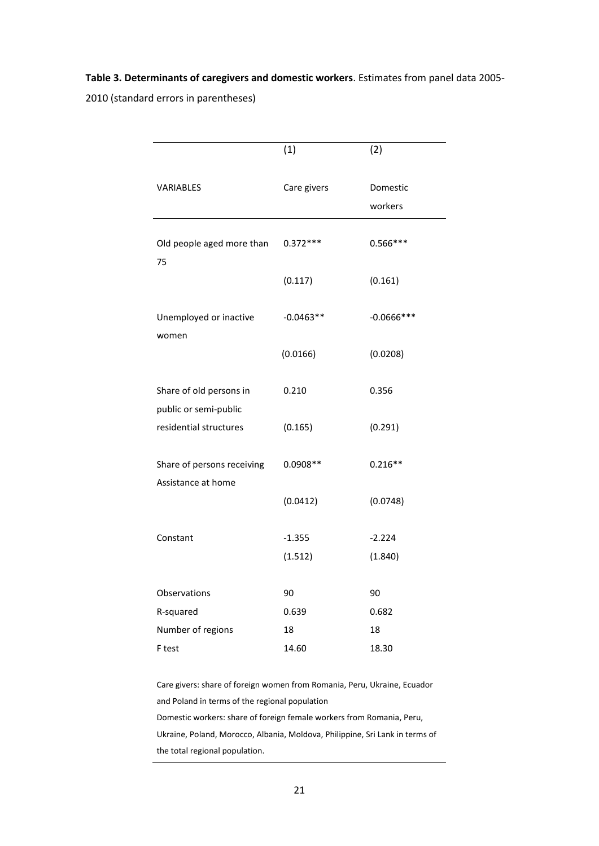### **Table 3. Determinants of caregivers and domestic workers**. Estimates from panel data 2005- 2010 (standard errors in parentheses)

|                                                  | (1)         | (2)           |  |
|--------------------------------------------------|-------------|---------------|--|
|                                                  |             |               |  |
| <b>VARIABLES</b>                                 | Care givers | Domestic      |  |
|                                                  |             | workers       |  |
| Old people aged more than<br>75                  | $0.372***$  | $0.566***$    |  |
|                                                  | (0.117)     | (0.161)       |  |
| Unemployed or inactive<br>women                  | $-0.0463**$ | $-0.0666$ *** |  |
|                                                  | (0.0166)    | (0.0208)      |  |
| Share of old persons in<br>public or semi-public | 0.210       | 0.356         |  |
| residential structures                           | (0.165)     | (0.291)       |  |
| Share of persons receiving<br>Assistance at home | $0.0908**$  | $0.216**$     |  |
|                                                  | (0.0412)    | (0.0748)      |  |
| Constant                                         | $-1.355$    | $-2.224$      |  |
|                                                  | (1.512)     | (1.840)       |  |
| Observations                                     | 90          | 90            |  |
| R-squared                                        | 0.639       | 0.682         |  |
| Number of regions                                | 18          | 18            |  |
| F test                                           | 14.60       | 18.30         |  |

Care givers: share of foreign women from Romania, Peru, Ukraine, Ecuador and Poland in terms of the regional population Domestic workers: share of foreign female workers from Romania, Peru, Ukraine, Poland, Morocco, Albania, Moldova, Philippine, Sri Lank in terms of the total regional population.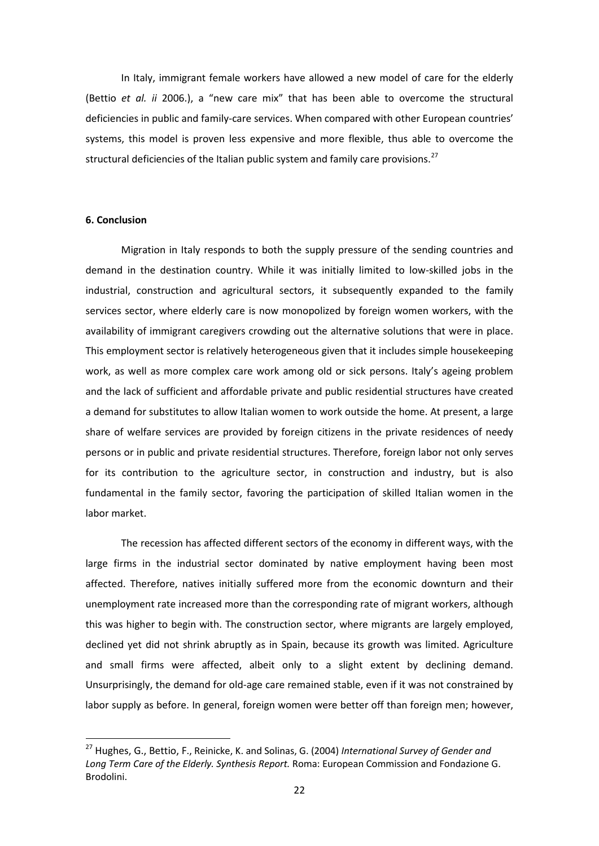In Italy, immigrant female workers have allowed a new model of care for the elderly (Bettio *et al. ii* 2006.), a "new care mix" that has been able to overcome the structural deficiencies in public and family-care services. When compared with other European countries' systems, this model is proven less expensive and more flexible, thus able to overcome the structural deficiencies of the Italian public system and family care provisions.<sup>[27](#page-21-4)</sup>

#### **6. Conclusion**

Migration in Italy responds to both the supply pressure of the sending countries and demand in the destination country. While it was initially limited to low-skilled jobs in the industrial, construction and agricultural sectors, it subsequently expanded to the family services sector, where elderly care is now monopolized by foreign women workers, with the availability of immigrant caregivers crowding out the alternative solutions that were in place. This employment sector is relatively heterogeneous given that it includes simple housekeeping work, as well as more complex care work among old or sick persons. Italy's ageing problem and the lack of sufficient and affordable private and public residential structures have created a demand for substitutes to allow Italian women to work outside the home. At present, a large share of welfare services are provided by foreign citizens in the private residences of needy persons or in public and private residential structures. Therefore, foreign labor not only serves for its contribution to the agriculture sector, in construction and industry, but is also fundamental in the family sector, favoring the participation of skilled Italian women in the labor market.

The recession has affected different sectors of the economy in different ways, with the large firms in the industrial sector dominated by native employment having been most affected. Therefore, natives initially suffered more from the economic downturn and their unemployment rate increased more than the corresponding rate of migrant workers, although this was higher to begin with. The construction sector, where migrants are largely employed, declined yet did not shrink abruptly as in Spain, because its growth was limited. Agriculture and small firms were affected, albeit only to a slight extent by declining demand. Unsurprisingly, the demand for old-age care remained stable, even if it was not constrained by labor supply as before. In general, foreign women were better off than foreign men; however,

 <sup>27</sup> Hughes, G., Bettio, F., Reinicke, K. and Solinas, G. (2004) *International Survey of Gender and Long Term Care of the Elderly. Synthesis Report.* Roma: European Commission and Fondazione G. Brodolini.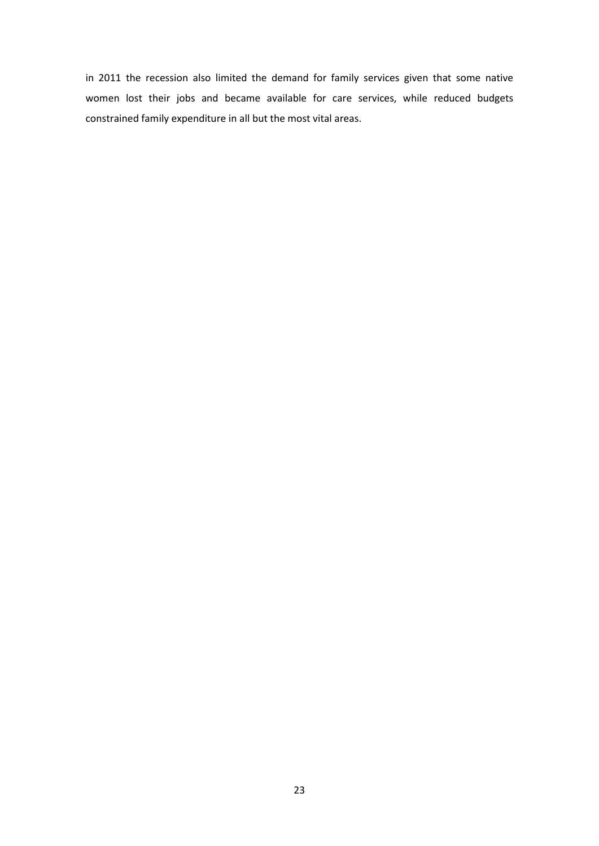in 2011 the recession also limited the demand for family services given that some native women lost their jobs and became available for care services, while reduced budgets constrained family expenditure in all but the most vital areas.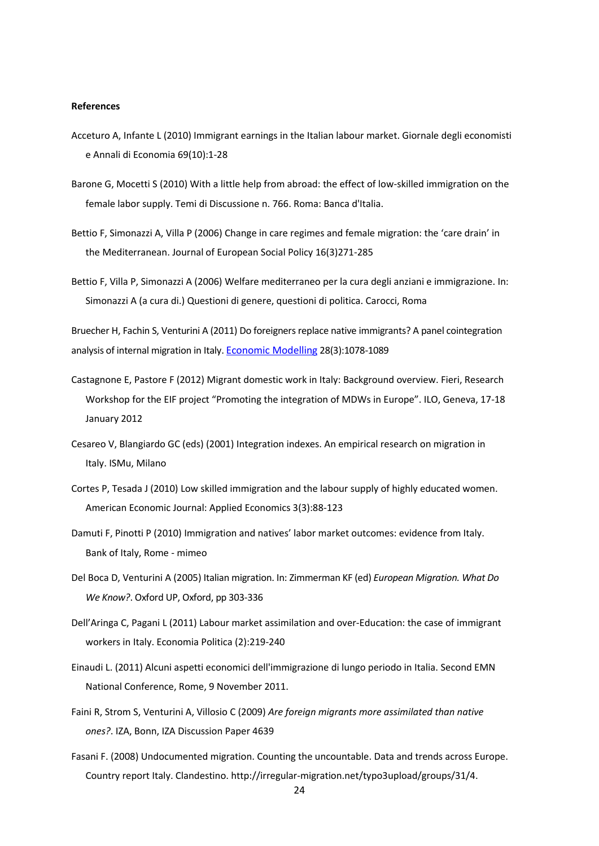#### **References**

- Acceturo A, Infante L (2010) Immigrant earnings in the Italian labour market. Giornale degli economisti e Annali di Economia 69(10):1-28
- Barone G, Mocetti S (2010) With a little help from abroad: the effect of low-skilled immigration on the female labor supply. Temi di Discussione n. 766. Roma: Banca d'Italia.
- Bettio F, Simonazzi A, Villa P (2006) Change in care regimes and female migration: the 'care drain' in the Mediterranean. Journal of European Social Policy 16(3)271-285
- Bettio F, Villa P, Simonazzi A (2006) Welfare mediterraneo per la cura degli anziani e immigrazione. In: Simonazzi A (a cura di.) Questioni di genere, questioni di politica. Carocci, Roma

Bruecher H, Fachin S, Venturini A (2011) Do foreigners replace native immigrants? A panel cointegration analysis of internal migration in Italy[. Economic Modelling](http://ideas.repec.org/s/eee/ecmode.html) 28(3):1078-1089

- Castagnone E, Pastore F (2012) Migrant domestic work in Italy: Background overview. Fieri, Research Workshop for the EIF project "Promoting the integration of MDWs in Europe". ILO, Geneva, 17-18 January 2012
- Cesareo V, Blangiardo GC (eds) (2001) Integration indexes. An empirical research on migration in Italy. ISMu, Milano
- Cortes P, Tesada J (2010) Low skilled immigration and the labour supply of highly educated women. American Economic Journal: Applied Economics 3(3):88-123
- Damuti F, Pinotti P (2010) Immigration and natives' labor market outcomes: evidence from Italy. Bank of Italy, Rome - mimeo
- Del Boca D, Venturini A (2005) Italian migration. In: Zimmerman KF (ed) *European Migration. What Do We Know?*. Oxford UP, Oxford, pp 303-336
- Dell'Aringa C, Pagani L (2011) Labour market assimilation and over-Education: the case of immigrant workers in Italy. Economia Politica (2):219-240
- Einaudi L. (2011) Alcuni aspetti economici dell'immigrazione di lungo periodo in Italia. Second EMN National Conference, Rome, 9 November 2011.
- Faini R, Strom S, Venturini A, Villosio C (2009) *Are foreign migrants more assimilated than native ones?*. IZA, Bonn, IZA Discussion Paper 4639
- Fasani F. (2008) Undocumented migration. Counting the uncountable. Data and trends across Europe. Country report Italy. Clandestino. http://irregular-migration.net/typo3upload/groups/31/4.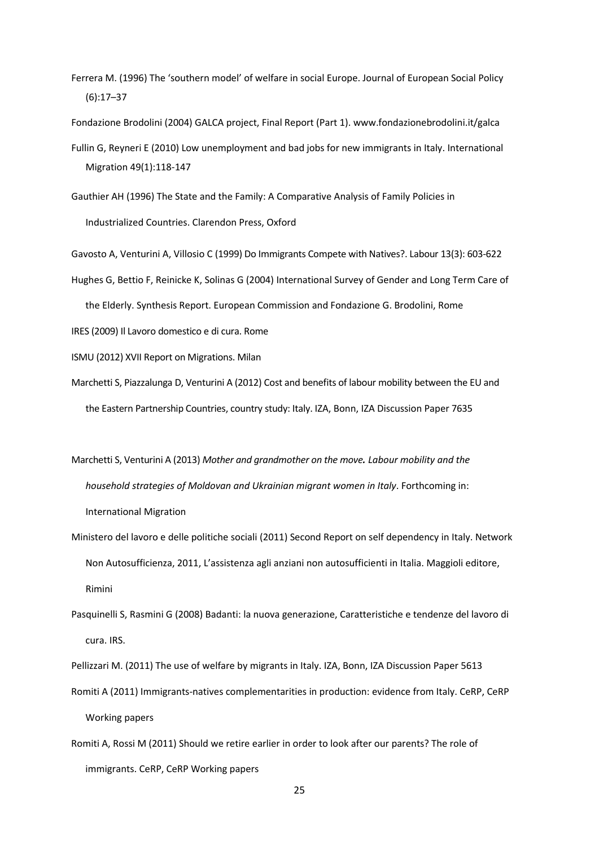Ferrera M. (1996) The 'southern model' of welfare in social Europe. Journal of European Social Policy (6):17–37

Fondazione Brodolini (2004) GALCA project, Final Report (Part 1). www.fondazionebrodolini.it/galca

- Fullin G, Reyneri E (2010) Low unemployment and bad jobs for new immigrants in Italy. International Migration 49(1):118-147
- Gauthier AH (1996) The State and the Family: A Comparative Analysis of Family Policies in Industrialized Countries. Clarendon Press, Oxford

Gavosto A, Venturini A, Villosio C (1999) Do Immigrants Compete with Natives?. Labour 13(3): 603-622

Hughes G, Bettio F, Reinicke K, Solinas G (2004) International Survey of Gender and Long Term Care of

the Elderly. Synthesis Report. European Commission and Fondazione G. Brodolini, Rome

IRES (2009) Il Lavoro domestico e di cura. Rome

ISMU (2012) XVII Report on Migrations. Milan

Marchetti S, Piazzalunga D, Venturini A (2012) Cost and benefits of labour mobility between the EU and the Eastern Partnership Countries, country study: Italy. IZA, Bonn, IZA Discussion Paper 7635

Marchetti S, Venturini A (2013) *Mother and grandmother on the move. Labour mobility and the household strategies of Moldovan and Ukrainian migrant women in Italy*. Forthcoming in: International Migration

- Ministero del lavoro e delle politiche sociali (2011) Second Report on self dependency in Italy. Network Non Autosufficienza, 2011, L'assistenza agli anziani non autosufficienti in Italia. Maggioli editore, Rimini
- Pasquinelli S, Rasmini G (2008) Badanti: la nuova generazione, Caratteristiche e tendenze del lavoro di cura. IRS.

Pellizzari M. (2011) The use of welfare by migrants in Italy. IZA, Bonn, IZA Discussion Paper 5613

- Romiti A (2011) Immigrants-natives complementarities in production: evidence from Italy. CeRP, CeRP Working papers
- Romiti A, Rossi M (2011) Should we retire earlier in order to look after our parents? The role of immigrants. CeRP, CeRP Working papers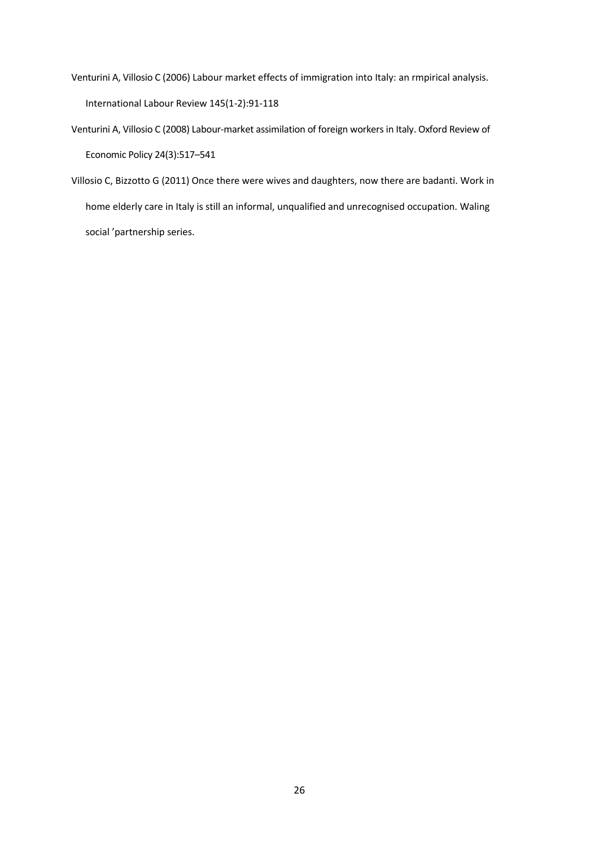- Venturini A, Villosio C (2006) Labour market effects of immigration into Italy: an rmpirical analysis. International Labour Review 145(1-2):91-118
- Venturini A, Villosio C (2008) Labour-market assimilation of foreign workers in Italy. Oxford Review of Economic Policy 24(3):517–541
- Villosio C, Bizzotto G (2011) Once there were wives and daughters, now there are badanti. Work in home elderly care in Italy is still an informal, unqualified and unrecognised occupation. Waling social 'partnership series.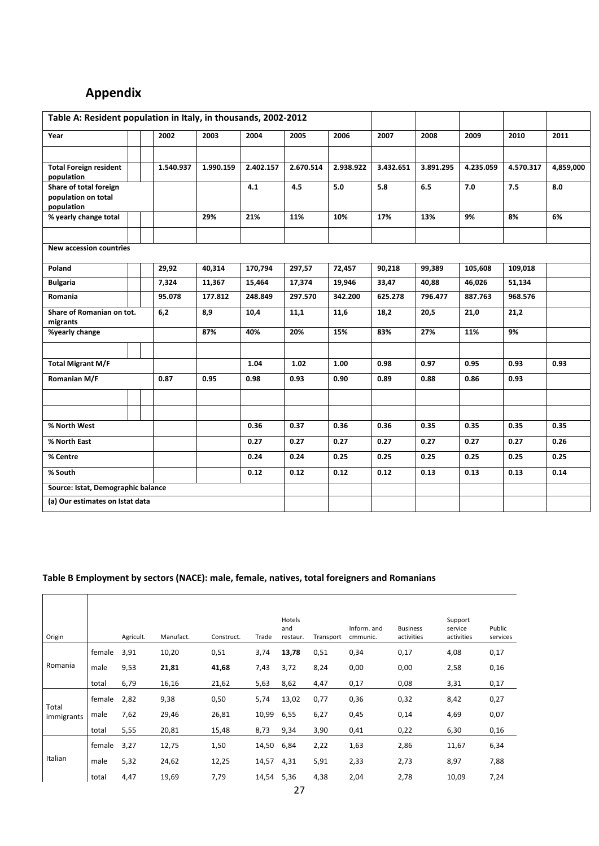## **Appendix**

| Table A: Resident population in Italy, in thousands, 2002-2012 |           |           |           |           |           |           |           |           |           |           |
|----------------------------------------------------------------|-----------|-----------|-----------|-----------|-----------|-----------|-----------|-----------|-----------|-----------|
| Year                                                           | 2002      | 2003      | 2004      | 2005      | 2006      | 2007      | 2008      | 2009      | 2010      | 2011      |
|                                                                |           |           |           |           |           |           |           |           |           |           |
| <b>Total Foreign resident</b><br>population                    | 1.540.937 | 1.990.159 | 2.402.157 | 2.670.514 | 2.938.922 | 3.432.651 | 3.891.295 | 4.235.059 | 4.570.317 | 4,859,000 |
| Share of total foreign<br>population on total<br>population    |           |           | 4.1       | 4.5       | 5.0       | 5.8       | 6.5       | 7.0       | 7.5       | 8.0       |
| % yearly change total                                          |           | 29%       | 21%       | 11%       | 10%       | 17%       | 13%       | 9%        | 8%        | 6%        |
| <b>New accession countries</b>                                 |           |           |           |           |           |           |           |           |           |           |
| Poland                                                         | 29,92     | 40,314    | 170,794   | 297,57    | 72,457    | 90,218    | 99,389    | 105,608   | 109,018   |           |
| <b>Bulgaria</b>                                                | 7,324     | 11,367    | 15,464    | 17,374    | 19,946    | 33,47     | 40,88     | 46,026    | 51,134    |           |
| Romania                                                        | 95.078    | 177.812   | 248.849   | 297.570   | 342.200   | 625.278   | 796.477   | 887.763   | 968.576   |           |
| Share of Romanian on tot.<br>migrants                          | 6,2       | 8,9       | 10,4      | 11,1      | 11,6      | 18,2      | 20,5      | 21,0      | 21,2      |           |
| %yearly change                                                 |           | 87%       | 40%       | 20%       | 15%       | 83%       | 27%       | 11%       | 9%        |           |
| <b>Total Migrant M/F</b>                                       |           |           | 1.04      | 1.02      | 1.00      | 0.98      | 0.97      | 0.95      | 0.93      | 0.93      |
| Romanian M/F                                                   | 0.87      | 0.95      | 0.98      | 0.93      | 0.90      | 0.89      | 0.88      | 0.86      | 0.93      |           |
|                                                                |           |           |           |           |           |           |           |           |           |           |
| % North West                                                   |           |           | 0.36      | 0.37      | 0.36      | 0.36      | 0.35      | 0.35      | 0.35      | 0.35      |
| % North East                                                   |           |           | 0.27      | 0.27      | 0.27      | 0.27      | 0.27      | 0.27      | 0.27      | 0.26      |
| % Centre                                                       |           |           | 0.24      | 0.24      | 0.25      | 0.25      | 0.25      | 0.25      | 0.25      | 0.25      |
|                                                                |           |           |           |           |           |           |           |           |           |           |
| % South                                                        |           |           | 0.12      | 0.12      | 0.12      | 0.12      | 0.13      | 0.13      | 0.13      | 0.14      |
| Source: Istat, Demographic balance                             |           |           |           |           |           |           |           |           |           |           |
| (a) Our estimates on Istat data                                |           |           |           |           |           |           |           |           |           |           |

### **Table B Employment by sectors (NACE): male, female, natives, total foreigners and Romanians**

| Origin              |        | Agricult. | Manufact. | Construct. | Trade | Hotels<br>and<br>restaur. | Transport | Inform, and<br>cmmunic. | <b>Business</b><br>activities | Support<br>service<br>activities | Public<br>services |
|---------------------|--------|-----------|-----------|------------|-------|---------------------------|-----------|-------------------------|-------------------------------|----------------------------------|--------------------|
|                     | female | 3,91      | 10,20     | 0,51       | 3,74  | 13,78                     | 0,51      | 0,34                    | 0,17                          | 4,08                             | 0,17               |
| Romania             | male   | 9,53      | 21,81     | 41,68      | 7,43  | 3,72                      | 8,24      | 0,00                    | 0,00                          | 2,58                             | 0,16               |
|                     | total  | 6,79      | 16,16     | 21,62      | 5,63  | 8,62                      | 4,47      | 0,17                    | 0,08                          | 3,31                             | 0,17               |
|                     | female | 2,82      | 9,38      | 0,50       | 5,74  | 13,02                     | 0,77      | 0,36                    | 0,32                          | 8,42                             | 0,27               |
| Total<br>immigrants | male   | 7,62      | 29,46     | 26,81      | 10,99 | 6,55                      | 6,27      | 0,45                    | 0,14                          | 4,69                             | 0,07               |
|                     | total  | 5,55      | 20,81     | 15,48      | 8,73  | 9,34                      | 3,90      | 0,41                    | 0,22                          | 6,30                             | 0,16               |
|                     | female | 3,27      | 12,75     | 1,50       | 14,50 | 6,84                      | 2,22      | 1,63                    | 2,86                          | 11,67                            | 6,34               |
| Italian             | male   | 5,32      | 24,62     | 12,25      | 14,57 | 4,31                      | 5,91      | 2,33                    | 2,73                          | 8,97                             | 7,88               |
|                     | total  | 4,47      | 19,69     | 7,79       | 14,54 | 5,36                      | 4,38      | 2,04                    | 2,78                          | 10,09                            | 7,24               |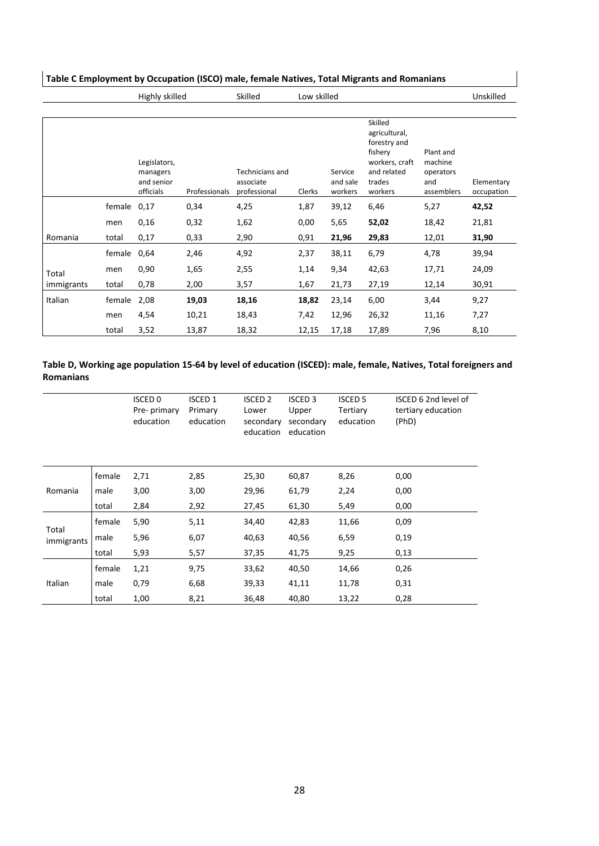## **Table C Employment by Occupation (ISCO) male, female Natives, Total Migrants and Romanians**

|            |        | Highly skilled                                      |               | Skilled                                      |        | Low skilled                    |                                                                                                           |                                                        | Unskilled                |
|------------|--------|-----------------------------------------------------|---------------|----------------------------------------------|--------|--------------------------------|-----------------------------------------------------------------------------------------------------------|--------------------------------------------------------|--------------------------|
|            |        | Legislators,<br>managers<br>and senior<br>officials | Professionals | Technicians and<br>associate<br>professional | Clerks | Service<br>and sale<br>workers | Skilled<br>agricultural,<br>forestry and<br>fishery<br>workers, craft<br>and related<br>trades<br>workers | Plant and<br>machine<br>operators<br>and<br>assemblers | Elementary<br>occupation |
|            | female | 0,17                                                | 0,34          | 4,25                                         | 1,87   | 39,12                          | 6,46                                                                                                      | 5,27                                                   | 42,52                    |
|            | men    | 0,16                                                | 0,32          | 1,62                                         | 0,00   | 5,65                           | 52,02                                                                                                     | 18,42                                                  | 21,81                    |
| Romania    | total  | 0,17                                                | 0,33          | 2,90                                         | 0,91   | 21,96                          | 29,83                                                                                                     | 12,01                                                  | 31,90                    |
|            | female | 0,64                                                | 2,46          | 4,92                                         | 2,37   | 38,11                          | 6,79                                                                                                      | 4,78                                                   | 39,94                    |
| Total      | men    | 0,90                                                | 1,65          | 2,55                                         | 1,14   | 9,34                           | 42,63                                                                                                     | 17,71                                                  | 24,09                    |
| immigrants | total  | 0,78                                                | 2,00          | 3,57                                         | 1,67   | 21,73                          | 27,19                                                                                                     | 12,14                                                  | 30,91                    |
| Italian    | female | 2,08                                                | 19,03         | 18,16                                        | 18,82  | 23,14                          | 6,00                                                                                                      | 3,44                                                   | 9,27                     |
|            | men    | 4,54                                                | 10,21         | 18,43                                        | 7,42   | 12,96                          | 26,32                                                                                                     | 11,16                                                  | 7,27                     |
|            | total  | 3,52                                                | 13,87         | 18,32                                        | 12,15  | 17,18                          | 17,89                                                                                                     | 7,96                                                   | 8,10                     |

#### **Table D, Working age population 15-64 by level of education (ISCED): male, female, Natives, Total foreigners and Romanians**

|                     |        | <b>ISCED 0</b><br>Pre- primary<br>education | <b>ISCED 1</b><br>Primary<br>education | <b>ISCED 2</b><br>Lower<br>secondary<br>education | <b>ISCED 3</b><br>Upper<br>secondary<br>education | <b>ISCED 5</b><br>Tertiary<br>education | ISCED 6 2nd level of<br>tertiary education<br>(PhD) |
|---------------------|--------|---------------------------------------------|----------------------------------------|---------------------------------------------------|---------------------------------------------------|-----------------------------------------|-----------------------------------------------------|
|                     | female | 2,71                                        | 2,85                                   | 25,30                                             | 60,87                                             | 8,26                                    | 0,00                                                |
| Romania             | male   | 3,00                                        | 3,00                                   | 29,96                                             | 61,79                                             | 2,24                                    | 0,00                                                |
|                     | total  | 2,84                                        | 2,92                                   | 27,45                                             | 61,30                                             | 5,49                                    | 0,00                                                |
|                     | female | 5,90                                        | 5,11                                   | 34,40                                             | 42,83                                             | 11,66                                   | 0,09                                                |
| Total<br>immigrants | male   | 5,96                                        | 6,07                                   | 40,63                                             | 40,56                                             | 6,59                                    | 0,19                                                |
|                     | total  | 5,93                                        | 5,57                                   | 37,35                                             | 41,75                                             | 9,25                                    | 0,13                                                |
|                     | female | 1,21                                        | 9,75                                   | 33,62                                             | 40,50                                             | 14,66                                   | 0,26                                                |
| Italian             | male   | 0,79                                        | 6,68                                   | 39,33                                             | 41,11                                             | 11,78                                   | 0,31                                                |
|                     | total  | 1,00                                        | 8,21                                   | 36,48                                             | 40,80                                             | 13,22                                   | 0,28                                                |